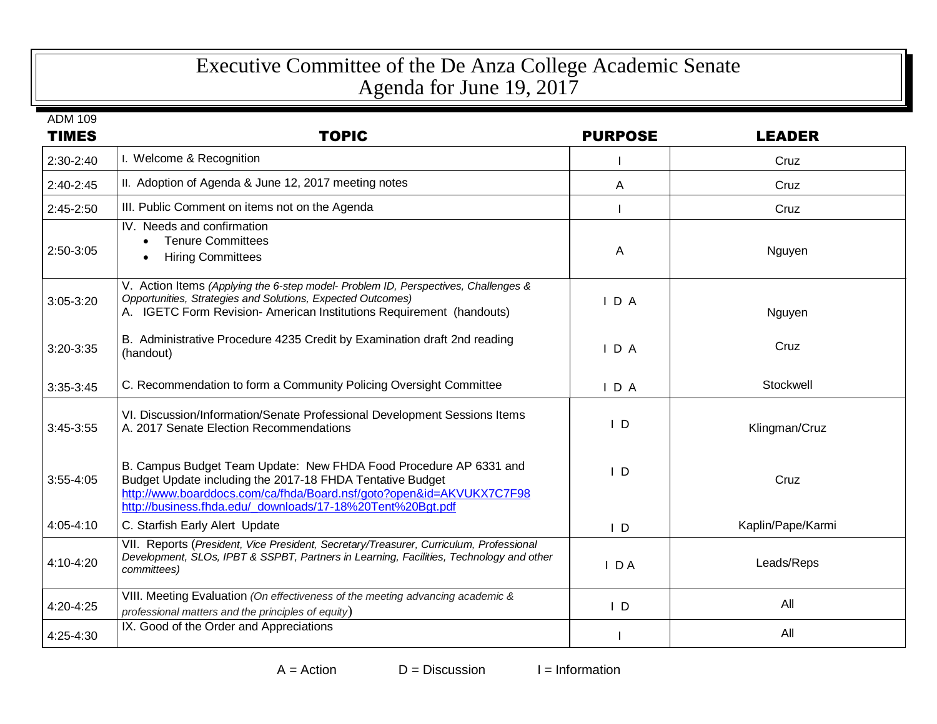## Executive Committee of the De Anza College Academic Senate Agenda for June 19, 2017

| <b>ADM 109</b><br><b>TIMES</b> | <b>TOPIC</b>                                                                                                                                                                                                                                                         | <b>PURPOSE</b> | <b>LEADER</b>     |
|--------------------------------|----------------------------------------------------------------------------------------------------------------------------------------------------------------------------------------------------------------------------------------------------------------------|----------------|-------------------|
| $2:30-2:40$                    | I. Welcome & Recognition                                                                                                                                                                                                                                             |                | Cruz              |
| $2:40-2:45$                    | II. Adoption of Agenda & June 12, 2017 meeting notes                                                                                                                                                                                                                 | A              | Cruz              |
| $2:45-2:50$                    | III. Public Comment on items not on the Agenda                                                                                                                                                                                                                       |                | Cruz              |
| 2:50-3:05                      | IV. Needs and confirmation<br><b>Tenure Committees</b><br><b>Hiring Committees</b><br>$\bullet$                                                                                                                                                                      | A              | Nguyen            |
| $3:05 - 3:20$                  | V. Action Items (Applying the 6-step model- Problem ID, Perspectives, Challenges &<br>Opportunities, Strategies and Solutions, Expected Outcomes)<br>A. IGETC Form Revision- American Institutions Requirement (handouts)                                            | IDA            | Nguyen            |
| 3:20-3:35                      | B. Administrative Procedure 4235 Credit by Examination draft 2nd reading<br>(handout)                                                                                                                                                                                | $I$ D A        | Cruz              |
| $3:35-3:45$                    | C. Recommendation to form a Community Policing Oversight Committee                                                                                                                                                                                                   | $I$ D A        | Stockwell         |
| 3:45-3:55                      | VI. Discussion/Information/Senate Professional Development Sessions Items<br>A. 2017 Senate Election Recommendations                                                                                                                                                 | $\mathsf{L}$   | Klingman/Cruz     |
| $3:55 - 4:05$                  | B. Campus Budget Team Update: New FHDA Food Procedure AP 6331 and<br>Budget Update including the 2017-18 FHDA Tentative Budget<br>http://www.boarddocs.com/ca/fhda/Board.nsf/goto?open&id=AKVUKX7C7F98<br>http://business.fhda.edu/_downloads/17-18%20Tent%20Bgt.pdf | $\overline{D}$ | Cruz              |
| 4:05-4:10                      | C. Starfish Early Alert Update                                                                                                                                                                                                                                       | $\mathsf{I}$ D | Kaplin/Pape/Karmi |
| 4:10-4:20                      | VII. Reports (President, Vice President, Secretary/Treasurer, Curriculum, Professional<br>Development, SLOs, IPBT & SSPBT, Partners in Learning, Facilities, Technology and other<br>committees)                                                                     | IDA            | Leads/Reps        |
| 4:20-4:25                      | VIII. Meeting Evaluation (On effectiveness of the meeting advancing academic &<br>professional matters and the principles of equity)                                                                                                                                 | $\mathsf{I}$ D | All               |
| 4:25-4:30                      | IX. Good of the Order and Appreciations                                                                                                                                                                                                                              |                | All               |